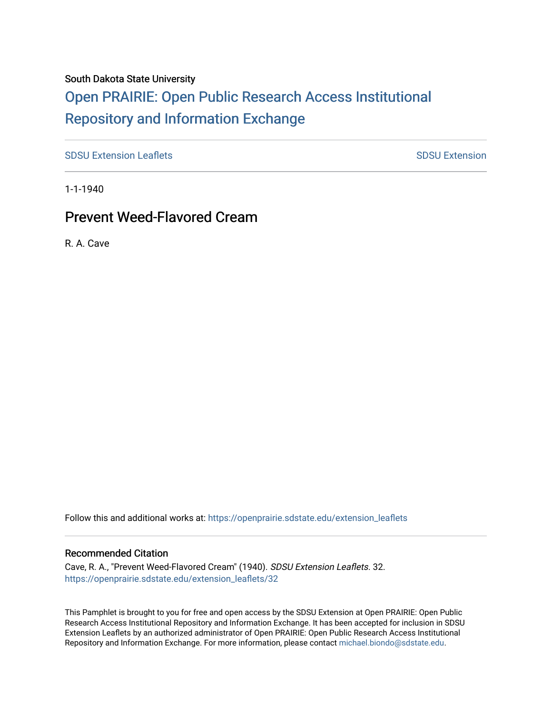## South Dakota State University

# [Open PRAIRIE: Open Public Research Access Institutional](https://openprairie.sdstate.edu/)  [Repository and Information Exchange](https://openprairie.sdstate.edu/)

[SDSU Extension Leaflets](https://openprairie.sdstate.edu/extension_leaflets) **SDSU** Extension Leaflets SDSU Extension

1-1-1940

# Prevent Weed-Flavored Cream

R. A. Cave

Follow this and additional works at: [https://openprairie.sdstate.edu/extension\\_leaflets](https://openprairie.sdstate.edu/extension_leaflets?utm_source=openprairie.sdstate.edu%2Fextension_leaflets%2F32&utm_medium=PDF&utm_campaign=PDFCoverPages)

### Recommended Citation

Cave, R. A., "Prevent Weed-Flavored Cream" (1940). SDSU Extension Leaflets. 32. [https://openprairie.sdstate.edu/extension\\_leaflets/32](https://openprairie.sdstate.edu/extension_leaflets/32?utm_source=openprairie.sdstate.edu%2Fextension_leaflets%2F32&utm_medium=PDF&utm_campaign=PDFCoverPages) 

This Pamphlet is brought to you for free and open access by the SDSU Extension at Open PRAIRIE: Open Public Research Access Institutional Repository and Information Exchange. It has been accepted for inclusion in SDSU Extension Leaflets by an authorized administrator of Open PRAIRIE: Open Public Research Access Institutional Repository and Information Exchange. For more information, please contact [michael.biondo@sdstate.edu.](mailto:michael.biondo@sdstate.edu)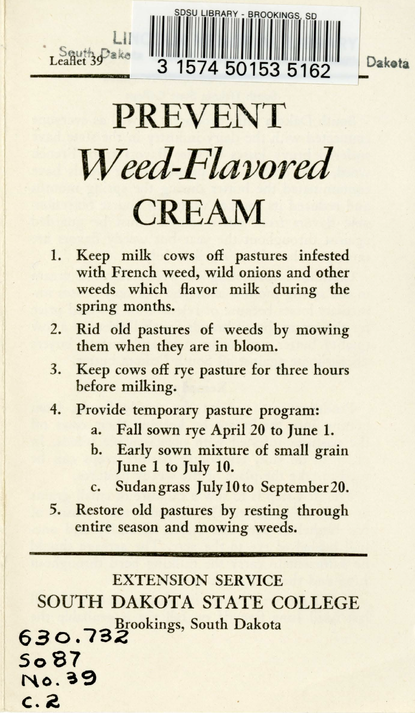



Daketa

PREVENT *Weed-Flavored*  CREAM

- 1. Keep milk cows off pastures infested with French weed, wild onions and other weeds which flavor milk during the spring months.
- 2. Rid old pastures of weeds by mowing them when they are in bloom.
- 3. Keep cows off rye pasture for three hours before milking.
- 4. Provide temporary pasture program:
	- a. Fall sown rye April 20 to June 1.
	- b. Early sown mixture of small grain June 1 to July 10.
	- c. Sudangrass July 10 to September 20.
- 5. Restore old pastures by resting through entire season and mowing weeds.

EXTENSION SERVICE SOUTH DAKOTA STATE COLLEGE ., <sup>3</sup>Brookings, South Dakota **630., <sup>2</sup> So87 No.~9 c. 2.**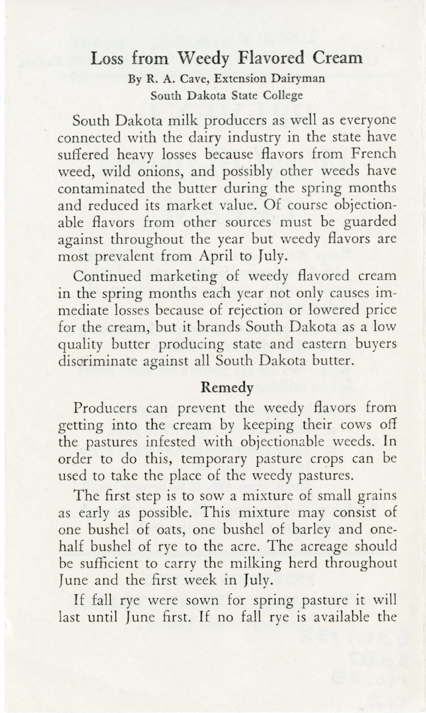#### **Loss from Weedy Flavored Cream By R. A. Cave, Extension Dairyman South Dakota State College**

South Dakota milk producers as well as everyone connected with the dairy industry in the state have suffered heavy losses because flavors from French weed, wild onions, and possibly other weeds have contaminated the butter during the spring months and reduced its market value. Of course objectionable flavors from other sources must be guarded against throughout the year but weedy flavors are most prevalent from April to July.

Continued marketing of weedy flavored cream in the spring months each year not only causes immediate losses because of rejection or lowered price for the cream, but it brands South Dakota as a low quality butter producing state and eastern buyers discriminate against all South Dakota butter.

#### **Remedy**

Producers can prevent the weedy flavors from getting into the cream by keeping their cows off the pastures infested with objectionable weeds. In order to do this, temporary pasture crops can be used to take the place of the weedy pastures.

The first step is to sow a mixture of small grains as early as possible. This mixture may consist of one bushel of oats, one bushel of barley and onehalf bushel of rye to the acre. The acreage should be sufficient to carry the milking herd throughout June and the first week in July.

If fall rye were sown for spring pasture it will last until June first. If no fall rye is available the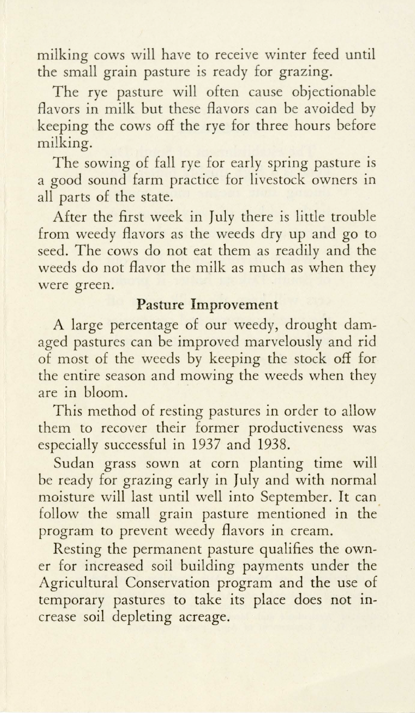milking cows will have to receive winter feed until the small grain pasture is ready for grazing.

The rye pasture will often cause objectionable flavors in milk but these flavors can be avoided by keeping the cows off the rye for three hours before milking.

The sowing of fall rye for early spring pasture is a good sound farm practice for livestock owners in all parts of the state.

After the first week in July there is little trouble from weedy flavors as the weeds dry up and go to seed. The cows do not eat them as readily and the weeds do not flavor the milk as much as when they were green.

#### **Pasture Improvement**

A large percentage of our weedy, drought damaged pastures can be improved marvelously and rid of most of the weeds by keeping the stock off for the entire season and mowing the weeds when they are in bloom.

This method of resting pastures in order to allow them to recover their former productiveness was especially successful in 1937 and 1938.

Sudan grass sown at corn planting time will be ready for grazing early in July and with normal moisture will last until well into September. It can follow the small grain pasture mentioned in the program to prevent weedy flavors in cream.

Resting the permanent pasture qualifies the owner for increased soil building payments under the Agricultural Conservation program and the use of temporary pastures to take its place does not increase soil depleting acreage.